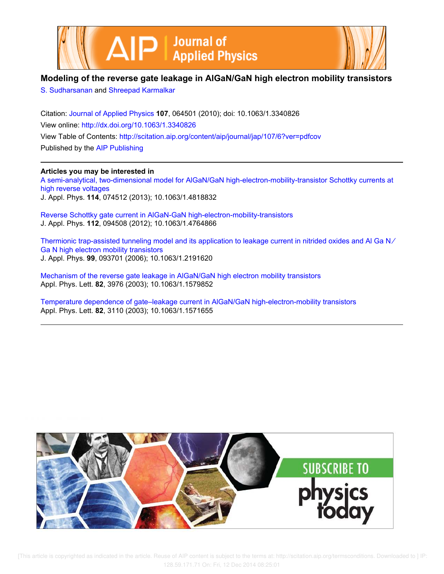



## **Modeling of the reverse gate leakage in AlGaN/GaN high electron mobility transistors**

S. Sudharsanan and Shreepad Karmalkar

Citation: Journal of Applied Physics **107**, 064501 (2010); doi: 10.1063/1.3340826 View online: http://dx.doi.org/10.1063/1.3340826 View Table of Contents: http://scitation.aip.org/content/aip/journal/jap/107/6?ver=pdfcov Published by the AIP Publishing

## **Articles you may be interested in**

A semi-analytical, two-dimensional model for AlGaN/GaN high-electron-mobility-transistor Schottky currents at high reverse voltages J. Appl. Phys. **114**, 074512 (2013); 10.1063/1.4818832

Reverse Schottky gate current in AlGaN-GaN high-electron-mobility-transistors J. Appl. Phys. **112**, 094508 (2012); 10.1063/1.4764866

Thermionic trap-assisted tunneling model and its application to leakage current in nitrided oxides and Al Ga N∕ Ga N high electron mobility transistors J. Appl. Phys. **99**, 093701 (2006); 10.1063/1.2191620

Mechanism of the reverse gate leakage in AlGaN/GaN high electron mobility transistors Appl. Phys. Lett. **82**, 3976 (2003); 10.1063/1.1579852

Temperature dependence of gate–leakage current in AlGaN/GaN high-electron-mobility transistors Appl. Phys. Lett. **82**, 3110 (2003); 10.1063/1.1571655

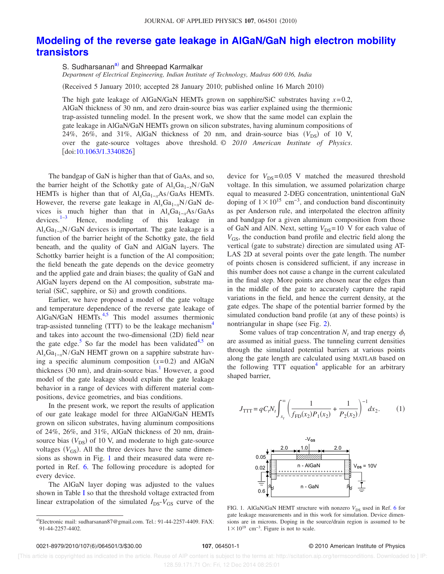## **Modeling of the reverse gate leakage in AlGaN/GaN high electron mobility transistors**

S. Sudharsanan<sup>a)</sup> and Shreepad Karmalkar

*Department of Electrical Engineering, Indian Institute of Technology, Madras 600 036, India*

Received 5 January 2010; accepted 28 January 2010; published online 16 March 2010-

The high gate leakage of AlGaN/GaN HEMTs grown on sapphire/SiC substrates having  $x=0.2$ , AlGaN thickness of 30 nm, and zero drain-source bias was earlier explained using the thermionic trap-assisted tunneling model. In the present work, we show that the same model can explain the gate leakage in AlGaN/GaN HEMTs grown on silicon substrates, having aluminum compositions of 24%, 26%, and 31%, AlGaN thickness of 20 nm, and drain-source bias  $(V_{DS})$  of 10 V, over the gate-source voltages above threshold. © *2010 American Institute of Physics*. doi:10.1063/1.3340826

The bandgap of GaN is higher than that of GaAs, and so, the barrier height of the Schottky gate of Al<sub>x</sub>Ga<sub>1−*x*</sub>N/GaN HEMTs is higher than that of Al<sub>*x*</sub>Ga<sub>1−*x*</sub>As/GaAs HEMTs. However, the reverse gate leakage in Al<sub>x</sub>Ga<sub>1−*x*</sub>N/GaN devices is much higher than that in  $Al_xGa_{1-x}As/GaAs$  devices.<sup>1-3</sup> Hence, modeling of this leakage in Hence, modeling of this leakage in  $Al<sub>x</sub>Ga<sub>1-x</sub>N/GaN$  devices is important. The gate leakage is a function of the barrier height of the Schottky gate, the field beneath, and the quality of GaN and AlGaN layers. The Schottky barrier height is a function of the Al composition; the field beneath the gate depends on the device geometry and the applied gate and drain biases; the quality of GaN and AlGaN layers depend on the Al composition, substrate material (SiC, sapphire, or Si) and growth conditions.

Earlier, we have proposed a model of the gate voltage and temperature dependence of the reverse gate leakage of AlGaN/GaN HEMTs.<sup>4,5</sup> This model assumes thermionic trap-assisted tunneling (TTT) to be the leakage mechanism<sup>4</sup> and takes into account the two-dimensional (2D) field near the gate edge.<sup>5</sup> So far the model has been validated<sup>4,5</sup> on Al<sub>x</sub>Ga<sub>1−*x*</sub>N/GaN HEMT grown on a sapphire substrate having a specific aluminum composition  $(x=0.2)$  and AlGaN thickness (30 nm), and drain-source bias.<sup>1</sup> However, a good model of the gate leakage should explain the gate leakage behavior in a range of devices with different material compositions, device geometries, and bias conditions.

In the present work, we report the results of application of our gate leakage model for three AlGaN/GaN HEMTs grown on silicon substrates, having aluminum compositions of 24%, 26%, and 31%, AlGaN thickness of 20 nm, drainsource bias  $(V_{DS})$  of 10 V, and moderate to high gate-source voltages  $(V_{GS})$ . All the three devices have the same dimensions as shown in Fig. 1 and their measured data were reported in Ref. 6. The following procedure is adopted for every device.

The AlGaN layer doping was adjusted to the values shown in Table I so that the threshold voltage extracted from linear extrapolation of the simulated  $I_{DS}$ - $V_{GS}$  curve of the device for  $V_{DS}$ =0.05 V matched the measured threshold voltage. In this simulation, we assumed polarization charge equal to measured 2-DEG concentration, unintentional GaN doping of  $1 \times 10^{15}$  cm<sup>-3</sup>, and conduction band discontinuity as per Anderson rule, and interpolated the electron affinity and bandgap for a given aluminum composition from those of GaN and AlN. Next, setting  $V_{DS}$ =10 V for each value of  $V_{GS}$ , the conduction band profile and electric field along the vertical (gate to substrate) direction are simulated using AT-LAS 2D at several points over the gate length. The number of points chosen is considered sufficient, if any increase in this number does not cause a change in the current calculated in the final step. More points are chosen near the edges than in the middle of the gate to accurately capture the rapid variations in the field, and hence the current density, at the gate edges. The shape of the potential barrier formed by the simulated conduction band profile (at any of these points) is nontriangular in shape (see Fig. 2).

Some values of trap concentration  $N_t$  and trap energy  $\phi_t$ are assumed as initial guess. The tunneling current densities through the simulated potential barriers at various points along the gate length are calculated using MATLAB based on the following TTT equation<sup>4</sup> applicable for an arbitrary shaped barrier,

$$
J_{\text{TTT}} = qC_t N_t \int_{x_t}^{\infty} \left( \frac{1}{f_{\text{FD}}(x_2) P_1(x_2)} + \frac{1}{P_2(x_2)} \right)^{-1} dx_2.
$$
 (1)



FIG. 1. AlGaN/GaN HEMT structure with nonzero  $V_{DS}$  used in Ref. 6 for gate leakage measurements and in this work for simulation. Device dimensions are in microns. Doping in the source/drain region is assumed to be  $1 \times 10^{19}$  cm<sup>-3</sup>. Figure is not to scale.

## **107**, 064501-1 © 2010 American Institute of Physics

 [This article is copyrighted as indicated in the article. Reuse of AIP content is subject to the terms at: http://scitation.aip.org/termsconditions. Downloaded to ] IP: 128.59.171.71 On: Fri, 12 Dec 2014 08:25:01

a)Electronic mail: sudharsanan87@gmail.com. Tel.: 91-44-2257-4409. FAX: 91-44-2257-4402.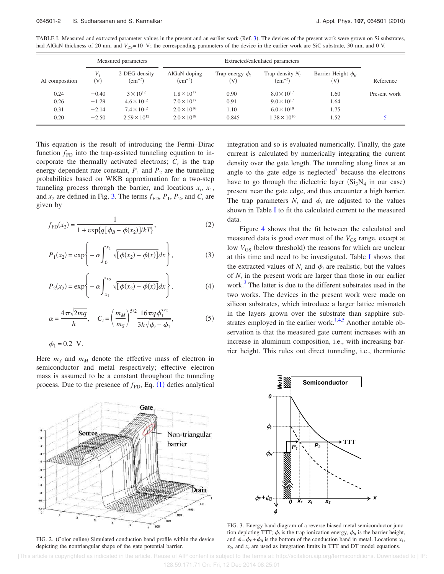TABLE I. Measured and extracted parameter values in the present and an earlier work (Ref. 3). The devices of the present work were grown on Si substrates, had AlGaN thickness of 20 nm, and  $V_{DS}$ = 10 V; the corresponding parameters of the device in the earlier work are SiC substrate, 30 nm, and 0 V.

|                | Measured parameters |                              | Extracted/calculated parameters |                                     |                                       |                                        |              |
|----------------|---------------------|------------------------------|---------------------------------|-------------------------------------|---------------------------------------|----------------------------------------|--------------|
| Al composition | $V_T$<br>(V)        | 2-DEG density<br>$(cm^{-2})$ | AlGaN doping<br>$\rm (cm^{-3})$ | Trap energy $\phi_t$<br>$({\rm V})$ | Trap density $N_t$<br>$\rm (cm^{-2})$ | Barrier Height $\phi_R$<br>$({\rm V})$ | Reference    |
| 0.24           | $-0.40$             | $3 \times 10^{12}$           | $1.8 \times 10^{17}$            | 0.90                                | $8.0 \times 10^{17}$                  | 1.60                                   | Present work |
| 0.26           | $-1.29$             | $4.6 \times 10^{12}$         | $7.0 \times 10^{17}$            | 0.91                                | $9.0 \times 10^{17}$                  | 1.64                                   |              |
| 0.31           | $-2.14$             | $7.4 \times 10^{12}$         | $2.0 \times 10^{16}$            | 1.10                                | $6.0 \times 10^{18}$                  | 1.75                                   |              |
| 0.20           | $-2.50$             | $2.59 \times 10^{12}$        | $2.0 \times 10^{18}$            | 0.845                               | $1.38 \times 10^{16}$                 | 1.52                                   |              |

This equation is the result of introducing the Fermi–Dirac function  $f_{FD}$  into the trap-assisted tunneling equation to incorporate the thermally activated electrons;  $C_t$  is the trap energy dependent rate constant,  $P_1$  and  $P_2$  are the tunneling probabilities based on WKB approximation for a two-step tunneling process through the barrier, and locations  $x_t$ ,  $x_1$ , and  $x_2$  are defined in Fig. 3. The terms  $f_{FD}$ ,  $P_1$ ,  $P_2$ , and  $C_t$  are given by

$$
f_{\rm FD}(x_2) = \frac{1}{1 + \exp\{q[\phi_B - \phi(x_2)]/kT\}},
$$
\n(2)

$$
P_1(x_2) = \exp\left\{-\alpha \int_0^{x_1} \sqrt{[\phi(x_2) - \phi(x)]} dx\right\},
$$
 (3)

$$
P_2(x_2) = \exp\left\{-\alpha \int_{x_1}^{x_2} \sqrt{[\phi(x_2) - \phi(x)]} dx\right\},
$$
 (4)

$$
\alpha = \frac{4\pi\sqrt{2mq}}{h}, \quad C_t = \left(\frac{m_M}{m_S}\right)^{5/2} \frac{16\pi q \phi_1^{3/2}}{3h\sqrt{\phi_t - \phi_1}},\tag{5}
$$

$$
\phi_1 = 0.2 \text{ V}.
$$

Here  $m<sub>S</sub>$  and  $m<sub>M</sub>$  denote the effective mass of electron in semiconductor and metal respectively; effective electron mass is assumed to be a constant throughout the tunneling process. Due to the presence of  $f_{FD}$ , Eq.  $(1)$  defies analytical



FIG. 2. (Color online) Simulated conduction band profile within the device depicting the nontriangular shape of the gate potential barrier.

integration and so is evaluated numerically. Finally, the gate current is calculated by numerically integrating the current density over the gate length. The tunneling along lines at an angle to the gate edge is neglected<sup>5</sup> because the electrons have to go through the dielectric layer  $(Si<sub>3</sub>N<sub>4</sub>$  in our case) present near the gate edge, and thus encounter a high barrier. The trap parameters  $N_t$  and  $\phi_t$  are adjusted to the values shown in Table I to fit the calculated current to the measured data.

Figure 4 shows that the fit between the calculated and measured data is good over most of the  $V_{GS}$  range, except at low  $V_{GS}$  (below threshold) the reasons for which are unclear at this time and need to be investigated. Table I shows that the extracted values of  $N_t$  and  $\phi_t$  are realistic, but the values of  $N_t$  in the present work are larger than those in our earlier work.<sup>3</sup> The latter is due to the different substrates used in the two works. The devices in the present work were made on silicon substrates, which introduce a larger lattice mismatch in the layers grown over the substrate than sapphire substrates employed in the earlier work.<sup>1,4,5</sup> Another notable observation is that the measured gate current increases with an increase in aluminum composition, i.e., with increasing barrier height. This rules out direct tunneling, i.e., thermionic



FIG. 3. Energy band diagram of a reverse biased metal semiconductor junction depicting TTT;  $\phi_t$  is the trap ionization energy,  $\phi_B$  is the barrier height, and  $\phi = \phi_F + \phi_B$  is the bottom of the conduction band in metal. Locations  $x_1$ ,  $x_2$ , and  $x_t$  are used as integration limits in TTT and DT model equations.

 [This article is copyrighted as indicated in the article. Reuse of AIP content is subject to the terms at: http://scitation.aip.org/termsconditions. Downloaded to ] IP: 128.59.171.71 On: Fri, 12 Dec 2014 08:25:01